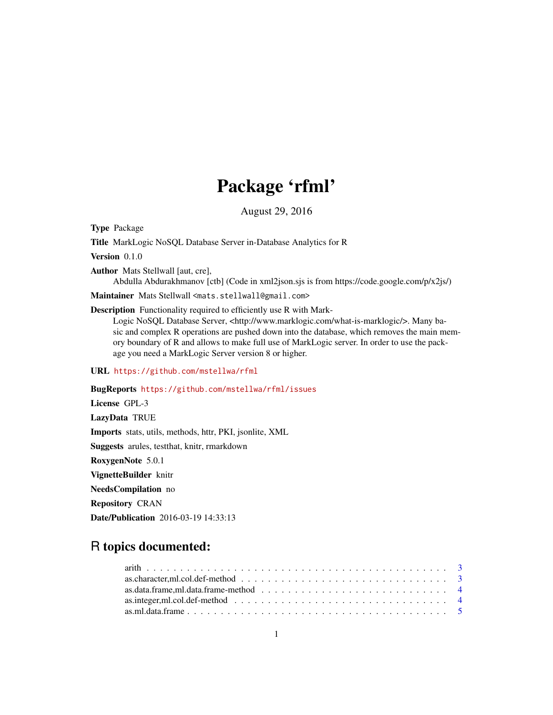# Package 'rfml'

August 29, 2016

Type Package

Title MarkLogic NoSQL Database Server in-Database Analytics for R

Version 0.1.0

Author Mats Stellwall [aut, cre],

Abdulla Abdurakhmanov [ctb] (Code in xml2json.sjs is from https://code.google.com/p/x2js/)

Maintainer Mats Stellwall <mats.stellwall@gmail.com>

#### Description Functionality required to efficiently use R with Mark-

Logic NoSQL Database Server, <http://www.marklogic.com/what-is-marklogic/>. Many basic and complex R operations are pushed down into the database, which removes the main memory boundary of R and allows to make full use of MarkLogic server. In order to use the package you need a MarkLogic Server version 8 or higher.

URL <https://github.com/mstellwa/rfml>

# BugReports <https://github.com/mstellwa/rfml/issues> License GPL-3 LazyData TRUE Imports stats, utils, methods, httr, PKI, jsonlite, XML Suggests arules, testthat, knitr, rmarkdown RoxygenNote 5.0.1 VignetteBuilder knitr NeedsCompilation no Repository CRAN

Date/Publication 2016-03-19 14:33:13

# R topics documented:

| as.character, ml.col.def-method $\ldots \ldots \ldots \ldots \ldots \ldots \ldots \ldots \ldots \ldots \ldots \ldots$ |  |
|-----------------------------------------------------------------------------------------------------------------------|--|
|                                                                                                                       |  |
|                                                                                                                       |  |
|                                                                                                                       |  |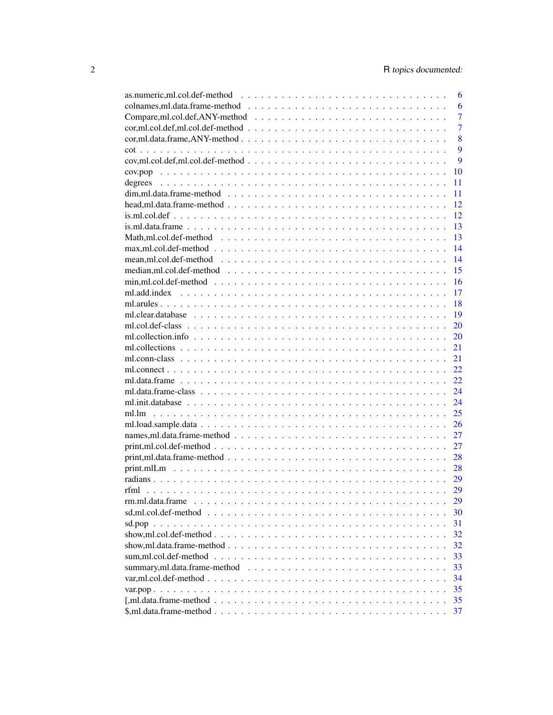|                                                                                                                        | 6              |
|------------------------------------------------------------------------------------------------------------------------|----------------|
|                                                                                                                        | 6              |
|                                                                                                                        | 7              |
| $cor, ml. col. def.ml. col. def-method              $                                                                  | $\overline{7}$ |
| $cor, ml. data. frame, ANY-method \dots \dots \dots \dots \dots \dots \dots \dots \dots \dots \dots \dots \dots \dots$ | 8              |
|                                                                                                                        | 9              |
|                                                                                                                        | 9              |
|                                                                                                                        | 10             |
|                                                                                                                        | 11             |
|                                                                                                                        | 11             |
|                                                                                                                        | 12             |
|                                                                                                                        | 12             |
|                                                                                                                        | 13             |
|                                                                                                                        | 13             |
|                                                                                                                        | 14             |
|                                                                                                                        | 14             |
|                                                                                                                        | 15             |
|                                                                                                                        | 16             |
|                                                                                                                        | 17             |
|                                                                                                                        | 18             |
|                                                                                                                        | 19             |
|                                                                                                                        | 20             |
|                                                                                                                        | 20             |
|                                                                                                                        | 21             |
|                                                                                                                        | 21             |
|                                                                                                                        | 22             |
|                                                                                                                        | 22             |
|                                                                                                                        | 24             |
|                                                                                                                        | 24             |
|                                                                                                                        | 25             |
|                                                                                                                        | 26             |
|                                                                                                                        | 27             |
|                                                                                                                        | 27             |
|                                                                                                                        | 28             |
|                                                                                                                        | 28             |
|                                                                                                                        | 29             |
|                                                                                                                        | 29             |
| rm.ml.data.frame                                                                                                       | 29             |
|                                                                                                                        | 30             |
|                                                                                                                        | 31             |
|                                                                                                                        | 32             |
|                                                                                                                        | 32             |
|                                                                                                                        | 33             |
|                                                                                                                        | 33             |
|                                                                                                                        | 34             |
|                                                                                                                        | 35             |
|                                                                                                                        | 35             |
|                                                                                                                        | 37             |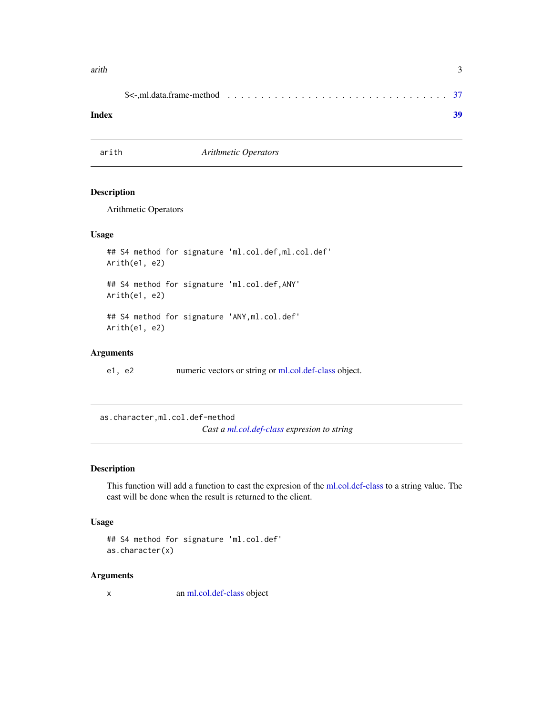#### <span id="page-2-0"></span>arith 3

#### **Index** [39](#page-38-0)

arith *Arithmetic Operators*

#### Description

Arithmetic Operators

# Usage

```
## S4 method for signature 'ml.col.def,ml.col.def'
Arith(e1, e2)
## S4 method for signature 'ml.col.def,ANY'
Arith(e1, e2)
## S4 method for signature 'ANY,ml.col.def'
Arith(e1, e2)
```
# Arguments

e1, e2 numeric vectors or string or [ml.col.def-class](#page-19-1) object.

as.character,ml.col.def-method *Cast a [ml.col.def-class](#page-19-1) expresion to string*

#### Description

This function will add a function to cast the expresion of the [ml.col.def-class](#page-19-1) to a string value. The cast will be done when the result is returned to the client.

# Usage

```
## S4 method for signature 'ml.col.def'
as.character(x)
```
# Arguments

x an [ml.col.def-class](#page-19-1) object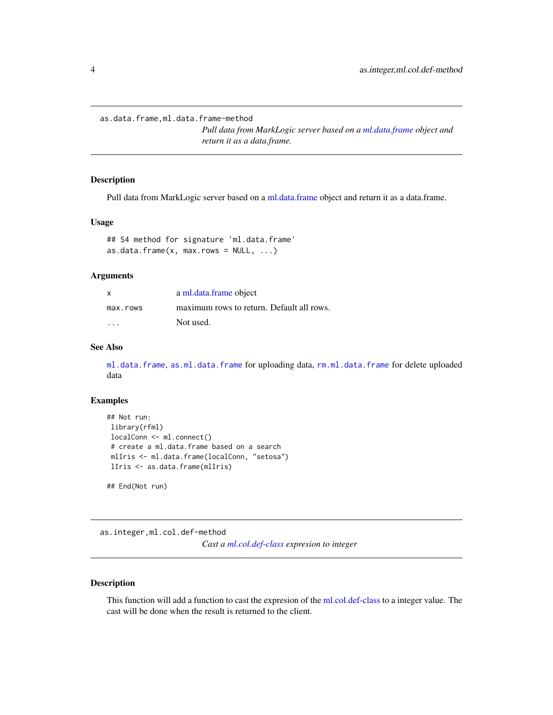<span id="page-3-0"></span>as.data.frame,ml.data.frame-method

*Pull data from MarkLogic server based on a [ml.data.frame](#page-21-1) object and return it as a data.frame.*

# <span id="page-3-1"></span>Description

Pull data from MarkLogic server based on a [ml.data.frame](#page-21-1) object and return it as a data.frame.

# Usage

```
## S4 method for signature 'ml.data.frame'
as.data. frame(x, max.rows = NULL, \ldots)
```
# Arguments

| X                       | a ml.data.frame object                    |
|-------------------------|-------------------------------------------|
| max.rows                | maximum rows to return. Default all rows. |
| $\cdot$ $\cdot$ $\cdot$ | Not used.                                 |

# See Also

[ml.data.frame](#page-21-1), [as.ml.data.frame](#page-4-1) for uploading data, [rm.ml.data.frame](#page-28-1) for delete uploaded data

#### Examples

```
## Not run:
library(rfml)
localConn <- ml.connect()
# create a ml.data.frame based on a search
mlIris <- ml.data.frame(localConn, "setosa")
lIris <- as.data.frame(mlIris)
```
## End(Not run)

as.integer,ml.col.def-method

*Cast a [ml.col.def-class](#page-19-1) expresion to integer*

#### Description

This function will add a function to cast the expresion of the [ml.col.def-class](#page-19-1) to a integer value. The cast will be done when the result is returned to the client.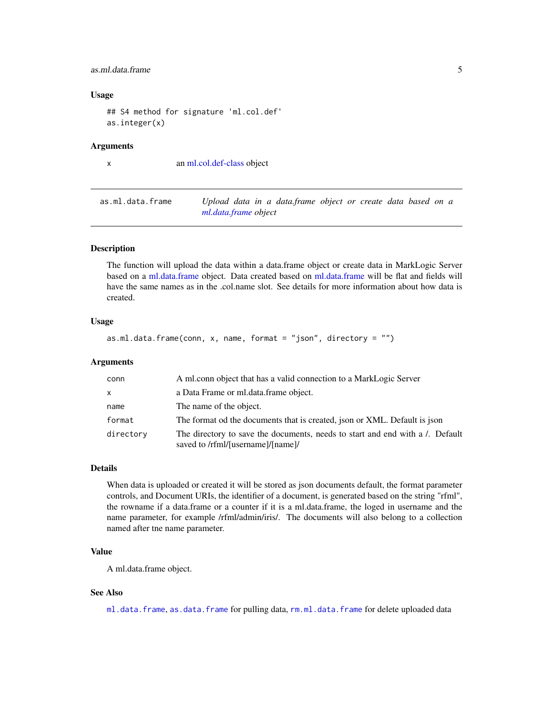#### <span id="page-4-0"></span>as.ml.data.frame 5

# Usage

```
## S4 method for signature 'ml.col.def'
as.integer(x)
```
#### Arguments

x an [ml.col.def-class](#page-19-1) object

<span id="page-4-1"></span>as.ml.data.frame *Upload data in a data.frame object or create data based on a [ml.data.frame](#page-21-1) object*

# Description

The function will upload the data within a data.frame object or create data in MarkLogic Server based on a [ml.data.frame](#page-21-1) object. Data created based on [ml.data.frame](#page-21-1) will be flat and fields will have the same names as in the .col.name slot. See details for more information about how data is created.

#### Usage

as.ml.data.frame(conn, x, name, format = "json", directory = "")

# Arguments

| conn         | A ml.conn object that has a valid connection to a MarkLogic Server                                                |
|--------------|-------------------------------------------------------------------------------------------------------------------|
| $\mathsf{x}$ | a Data Frame or ml.data.frame object.                                                                             |
| name         | The name of the object.                                                                                           |
| format       | The format od the documents that is created, json or XML. Default is json                                         |
| directory    | The directory to save the documents, needs to start and end with a . Default<br>saved to /rfml/[username]/[name]/ |

#### Details

When data is uploaded or created it will be stored as json documents default, the format parameter controls, and Document URIs, the identifier of a document, is generated based on the string "rfml", the rowname if a data.frame or a counter if it is a ml.data.frame, the loged in username and the name parameter, for example /rfml/admin/iris/. The documents will also belong to a collection named after tne name parameter.

#### Value

A ml.data.frame object.

# See Also

[ml.data.frame](#page-21-1), [as.data.frame](#page-3-1) for pulling data, [rm.ml.data.frame](#page-28-1) for delete uploaded data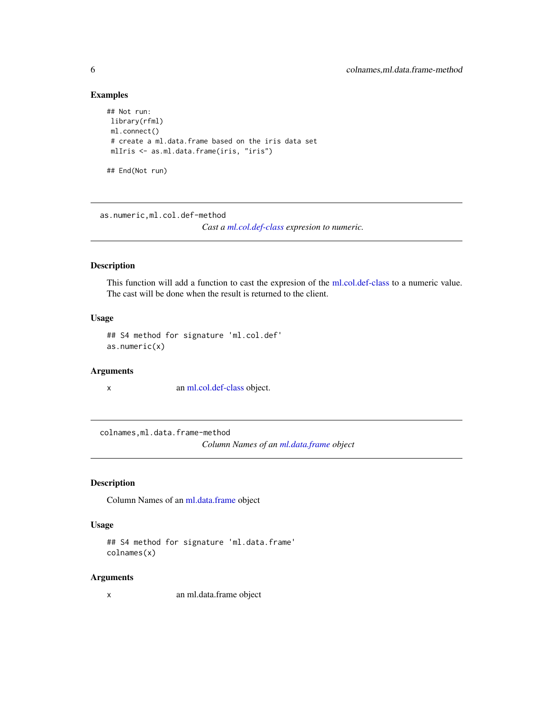# Examples

```
## Not run:
library(rfml)
ml.connect()
# create a ml.data.frame based on the iris data set
mlIris <- as.ml.data.frame(iris, "iris")
## End(Not run)
```
as.numeric,ml.col.def-method

*Cast a [ml.col.def-class](#page-19-1) expresion to numeric.*

# Description

This function will add a function to cast the expresion of the [ml.col.def-class](#page-19-1) to a numeric value. The cast will be done when the result is returned to the client.

# Usage

## S4 method for signature 'ml.col.def' as.numeric(x)

#### Arguments

x an [ml.col.def-class](#page-19-1) object.

colnames,ml.data.frame-method

*Column Names of an [ml.data.frame](#page-21-1) object*

# Description

Column Names of an [ml.data.frame](#page-21-1) object

#### Usage

```
## S4 method for signature 'ml.data.frame'
colnames(x)
```
# Arguments

x an ml.data.frame object

<span id="page-5-0"></span>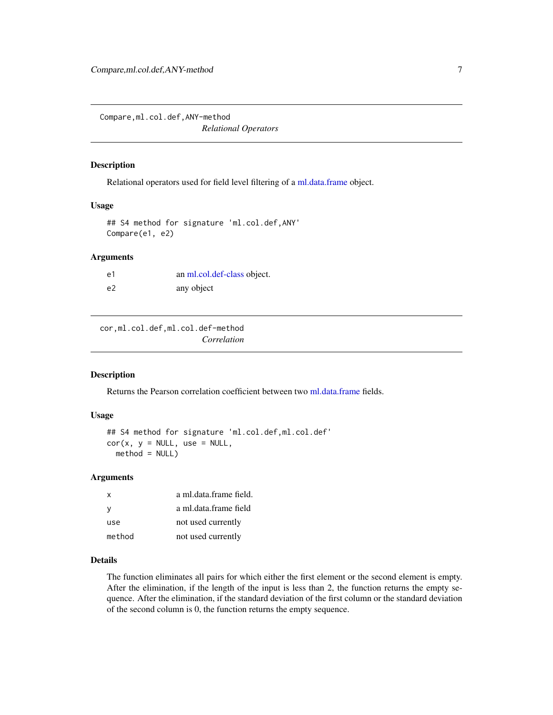<span id="page-6-0"></span>Compare,ml.col.def,ANY-method *Relational Operators*

# Description

Relational operators used for field level filtering of a [ml.data.frame](#page-21-1) object.

#### Usage

## S4 method for signature 'ml.col.def,ANY' Compare(e1, e2)

#### Arguments

| e1 | an ml.col.def-class object. |
|----|-----------------------------|
| e2 | any object                  |

cor,ml.col.def,ml.col.def-method *Correlation*

#### Description

Returns the Pearson correlation coefficient between two [ml.data.frame](#page-21-1) fields.

#### Usage

```
## S4 method for signature 'ml.col.def,ml.col.def'
cor(x, y = NULL, use = NULL,method = NULL)
```
# Arguments

| x      | a ml.data.frame field. |
|--------|------------------------|
| у      | a ml.data.frame field  |
| use    | not used currently     |
| method | not used currently     |

#### Details

The function eliminates all pairs for which either the first element or the second element is empty. After the elimination, if the length of the input is less than 2, the function returns the empty sequence. After the elimination, if the standard deviation of the first column or the standard deviation of the second column is 0, the function returns the empty sequence.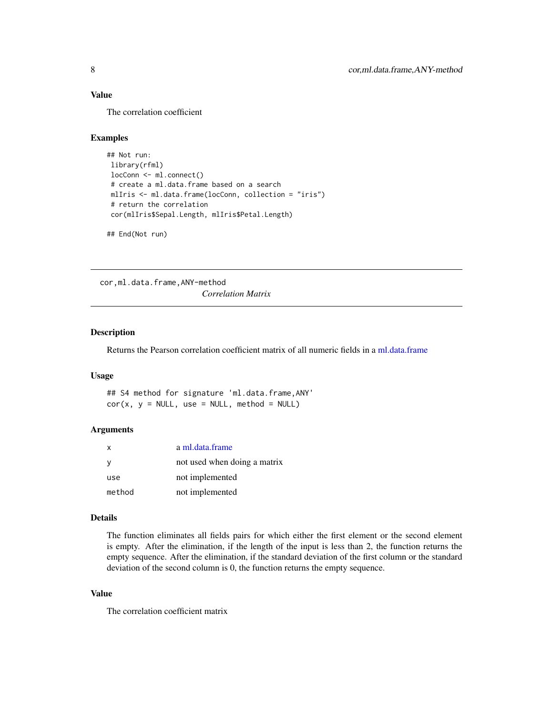# <span id="page-7-0"></span>Value

The correlation coefficient

#### Examples

```
## Not run:
library(rfml)
locConn <- ml.connect()
# create a ml.data.frame based on a search
mlIris <- ml.data.frame(locConn, collection = "iris")
# return the correlation
cor(mlIris$Sepal.Length, mlIris$Petal.Length)
```
## End(Not run)

cor,ml.data.frame,ANY-method *Correlation Matrix*

# Description

Returns the Pearson correlation coefficient matrix of all numeric fields in a [ml.data.frame](#page-21-1)

#### Usage

## S4 method for signature 'ml.data.frame,ANY'  $cor(x, y = NULL, use = NULL, method = NULL)$ 

#### Arguments

| $\mathsf{x}$ | a ml.data.frame              |
|--------------|------------------------------|
| У            | not used when doing a matrix |
| use          | not implemented              |
| method       | not implemented              |

#### Details

The function eliminates all fields pairs for which either the first element or the second element is empty. After the elimination, if the length of the input is less than 2, the function returns the empty sequence. After the elimination, if the standard deviation of the first column or the standard deviation of the second column is 0, the function returns the empty sequence.

#### Value

The correlation coefficient matrix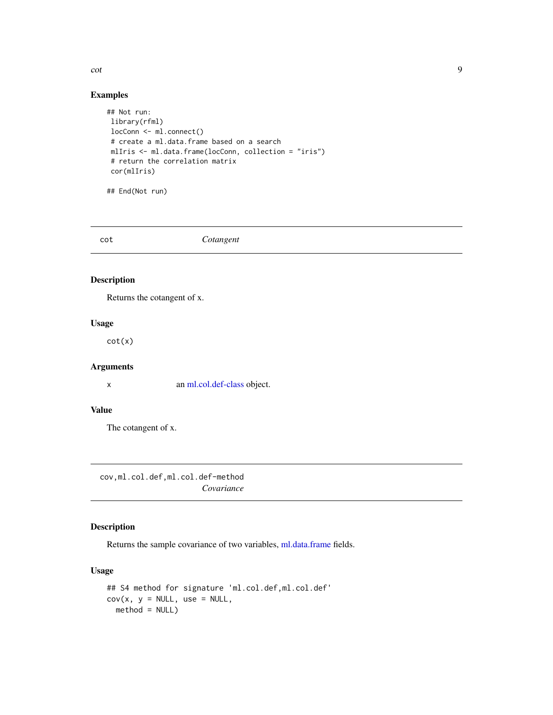<span id="page-8-0"></span>cot contract the contract of the contract of the contract of the contract of the contract of the contract of the contract of the contract of the contract of the contract of the contract of the contract of the contract of t

# Examples

```
## Not run:
library(rfml)
locConn <- ml.connect()
# create a ml.data.frame based on a search
mlIris <- ml.data.frame(locConn, collection = "iris")
# return the correlation matrix
cor(mlIris)
```
## End(Not run)

cot *Cotangent*

### Description

Returns the cotangent of x.

# Usage

cot(x)

# Arguments

x an [ml.col.def-class](#page-19-1) object.

# Value

The cotangent of x.

cov,ml.col.def,ml.col.def-method *Covariance*

# Description

Returns the sample covariance of two variables, [ml.data.frame](#page-21-1) fields.

# Usage

```
## S4 method for signature 'ml.col.def,ml.col.def'
cov(x, y = NULL, use = NULL,method = NULL)
```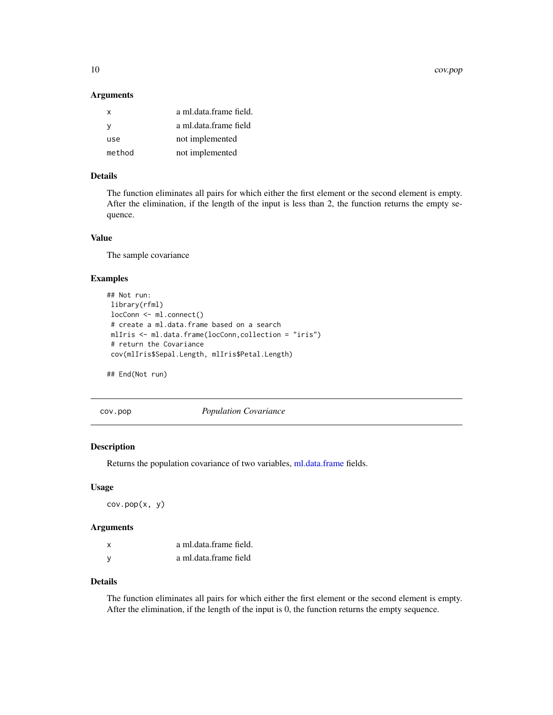<span id="page-9-0"></span>10 cov.pop

#### Arguments

| a ml.data.frame field. |
|------------------------|
| a ml.data.frame field  |
| not implemented        |
| not implemented        |
|                        |

# Details

The function eliminates all pairs for which either the first element or the second element is empty. After the elimination, if the length of the input is less than 2, the function returns the empty sequence.

#### Value

The sample covariance

# Examples

```
## Not run:
library(rfml)
locConn <- ml.connect()
# create a ml.data.frame based on a search
mlIris <- ml.data.frame(locConn,collection = "iris")
# return the Covariance
cov(mlIris$Sepal.Length, mlIris$Petal.Length)
```
## End(Not run)

cov.pop *Population Covariance*

# Description

Returns the population covariance of two variables, [ml.data.frame](#page-21-1) fields.

### Usage

cov.pop(x, y)

#### Arguments

| x | a ml.data.frame field. |
|---|------------------------|
| y | a ml.data.frame field  |

# Details

The function eliminates all pairs for which either the first element or the second element is empty. After the elimination, if the length of the input is 0, the function returns the empty sequence.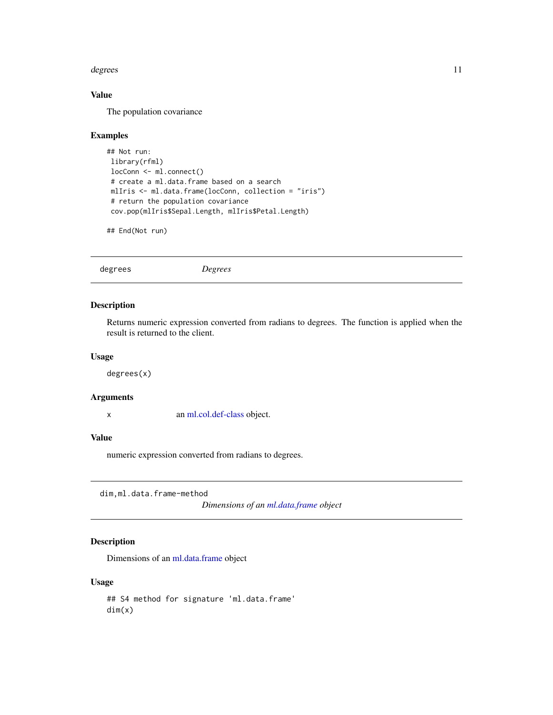#### <span id="page-10-0"></span>degrees and the state of the state of the state of the state of the state of the state of the state of the state of the state of the state of the state of the state of the state of the state of the state of the state of th

# Value

The population covariance

### Examples

```
## Not run:
library(rfml)
locConn <- ml.connect()
# create a ml.data.frame based on a search
mlIris <- ml.data.frame(locConn, collection = "iris")
# return the population covariance
cov.pop(mlIris$Sepal.Length, mlIris$Petal.Length)
```
## End(Not run)

degrees *Degrees*

#### Description

Returns numeric expression converted from radians to degrees. The function is applied when the result is returned to the client.

# Usage

degrees(x)

#### Arguments

x an [ml.col.def-class](#page-19-1) object.

#### Value

numeric expression converted from radians to degrees.

dim,ml.data.frame-method

*Dimensions of an [ml.data.frame](#page-21-1) object*

# Description

Dimensions of an [ml.data.frame](#page-21-1) object

# Usage

## S4 method for signature 'ml.data.frame' dim(x)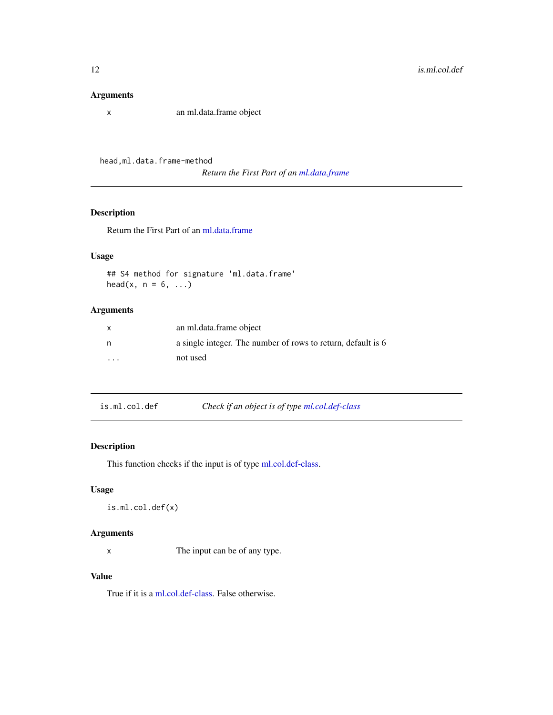#### <span id="page-11-0"></span>Arguments

x an ml.data.frame object

head,ml.data.frame-method

*Return the First Part of an [ml.data.frame](#page-21-1)*

# Description

Return the First Part of an [ml.data.frame](#page-21-1)

# Usage

## S4 method for signature 'ml.data.frame' head(x,  $n = 6, ...$ )

# Arguments

| $\mathsf{x}$            | an ml.data.frame object                                      |
|-------------------------|--------------------------------------------------------------|
| n                       | a single integer. The number of rows to return, default is 6 |
| $\cdot$ $\cdot$ $\cdot$ | not used                                                     |

| is.ml.col.def | Check if an object is of type ml.col.def-class |
|---------------|------------------------------------------------|
|---------------|------------------------------------------------|

# Description

This function checks if the input is of type [ml.col.def-class.](#page-19-1)

# Usage

```
is.ml.col.def(x)
```
# Arguments

x The input can be of any type.

# Value

True if it is a [ml.col.def-class.](#page-19-1) False otherwise.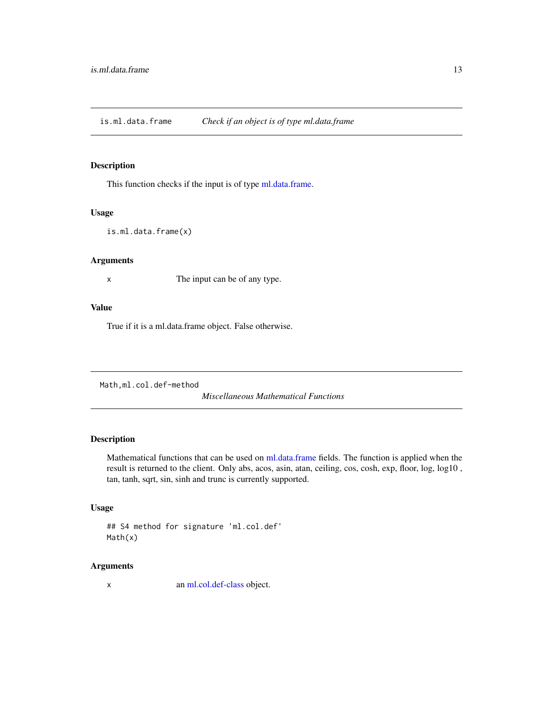<span id="page-12-0"></span>is.ml.data.frame *Check if an object is of type ml.data.frame*

#### Description

This function checks if the input is of type [ml.data.frame.](#page-21-1)

# Usage

is.ml.data.frame(x)

# Arguments

x The input can be of any type.

#### Value

True if it is a ml.data.frame object. False otherwise.

Math,ml.col.def-method

*Miscellaneous Mathematical Functions*

# Description

Mathematical functions that can be used on [ml.data.frame](#page-21-1) fields. The function is applied when the result is returned to the client. Only abs, acos, asin, atan, ceiling, cos, cosh, exp, floor, log, log10 , tan, tanh, sqrt, sin, sinh and trunc is currently supported.

# Usage

```
## S4 method for signature 'ml.col.def'
Math(x)
```
#### Arguments

x an [ml.col.def-class](#page-19-1) object.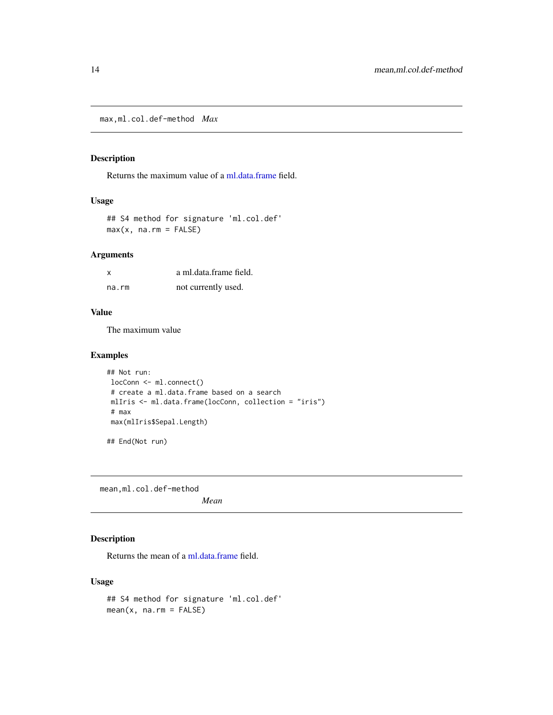<span id="page-13-0"></span>max,ml.col.def-method *Max*

# Description

Returns the maximum value of a [ml.data.frame](#page-21-1) field.

#### Usage

```
## S4 method for signature 'ml.col.def'
max(x, na.rm = FALSE)
```
# Arguments

| x     | a ml.data.frame field. |
|-------|------------------------|
| na.rm | not currently used.    |

# Value

The maximum value

#### Examples

```
## Not run:
locConn <- ml.connect()
# create a ml.data.frame based on a search
mlIris <- ml.data.frame(locConn, collection = "iris")
# max
max(mlIris$Sepal.Length)
## End(Not run)
```
mean,ml.col.def-method

*Mean*

# Description

Returns the mean of a [ml.data.frame](#page-21-1) field.

# Usage

```
## S4 method for signature 'ml.col.def'
mean(x, na.rm = FALSE)
```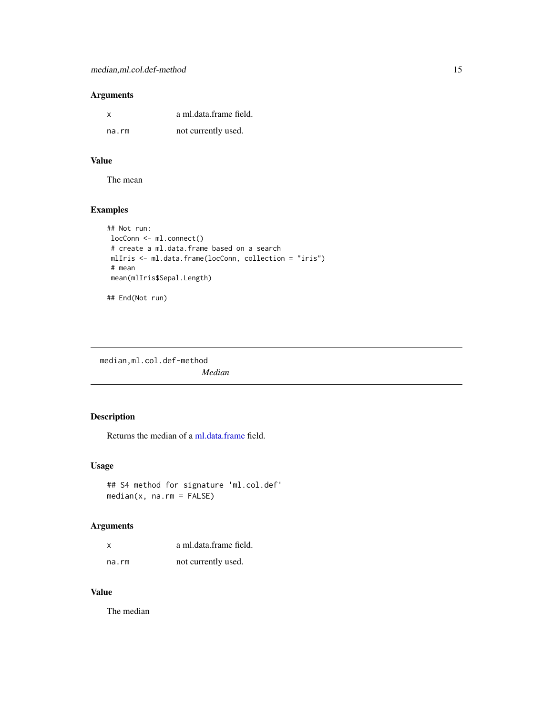# <span id="page-14-0"></span>Arguments

| x     | a ml.data.frame field. |
|-------|------------------------|
| na.rm | not currently used.    |

# Value

The mean

# Examples

```
## Not run:
locConn <- ml.connect()
# create a ml.data.frame based on a search
mlIris <- ml.data.frame(locConn, collection = "iris")
# mean
mean(mlIris$Sepal.Length)
```
## End(Not run)

median,ml.col.def-method *Median*

# Description

Returns the median of a [ml.data.frame](#page-21-1) field.

# Usage

```
## S4 method for signature 'ml.col.def'
median(x, na.rm = FALSE)
```
# Arguments

| X     | a ml.data.frame field. |
|-------|------------------------|
| na.rm | not currently used.    |

# Value

The median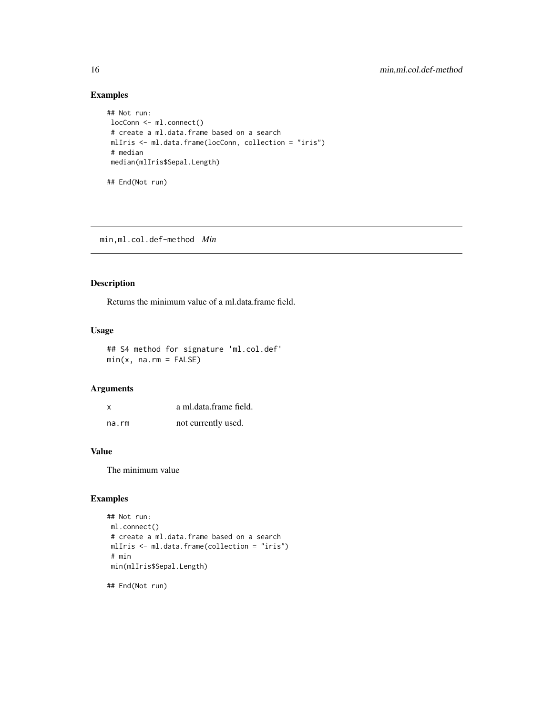# Examples

```
## Not run:
locConn <- ml.connect()
 # create a ml.data.frame based on a search
 mlIris <- ml.data.frame(locConn, collection = "iris")
 # median
median(mlIris$Sepal.Length)
## End(Not run)
```
min,ml.col.def-method *Min*

# Description

Returns the minimum value of a ml.data.frame field.

#### Usage

## S4 method for signature 'ml.col.def'  $min(x, na.rm = FALSE)$ 

# Arguments

| x     | a ml.data.frame field. |
|-------|------------------------|
| na.rm | not currently used.    |

#### Value

The minimum value

# Examples

```
## Not run:
ml.connect()
# create a ml.data.frame based on a search
mlIris <- ml.data.frame(collection = "iris")
# min
min(mlIris$Sepal.Length)
```
## End(Not run)

<span id="page-15-0"></span>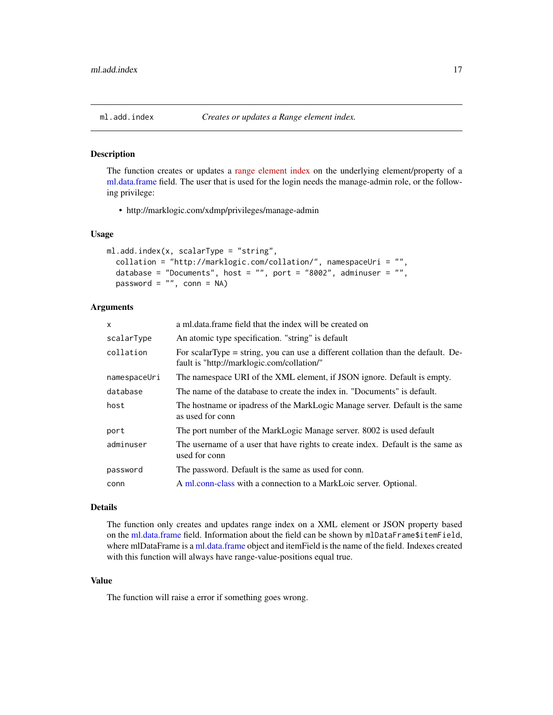#### Description

The function creates or updates a [range element index](http://docs.marklogic.com/guide/concepts/indexing#id_51573) on the underlying element/property of a [ml.data.frame](#page-21-1) field. The user that is used for the login needs the manage-admin role, or the following privilege:

• http://marklogic.com/xdmp/privileges/manage-admin

#### Usage

```
ml.add.index(x, scalarType = "string",
  collation = "http://marklogic.com/collation/", namespaceUri = "",
  database = "Documents", host = "", port = "8002", adminuser = "",
 password = ", conn = NA)
```
# Arguments

| x            | a ml.data.frame field that the index will be created on                                                                           |
|--------------|-----------------------------------------------------------------------------------------------------------------------------------|
| scalarType   | An atomic type specification. "string" is default                                                                                 |
| collation    | For scalar Type $=$ string, you can use a different collation than the default. De-<br>fault is "http://marklogic.com/collation/" |
| namespaceUri | The namespace URI of the XML element, if JSON ignore. Default is empty.                                                           |
| database     | The name of the database to create the index in. "Documents" is default.                                                          |
| host         | The hostname or ipadress of the MarkLogic Manage server. Default is the same<br>as used for conn                                  |
| port         | The port number of the MarkLogic Manage server. 8002 is used default                                                              |
| adminuser    | The username of a user that have rights to create index. Default is the same as<br>used for conn                                  |
| password     | The password. Default is the same as used for conn.                                                                               |
| conn         | A ml.conn-class with a connection to a MarkLoic server. Optional.                                                                 |

#### Details

The function only creates and updates range index on a XML element or JSON property based on the [ml.data.frame](#page-21-1) field. Information about the field can be shown by mlDataFrame\$itemField, where mlDataFrame is a [ml.data.frame](#page-21-1) object and itemField is the name of the field. Indexes created with this function will always have range-value-positions equal true.

# Value

The function will raise a error if something goes wrong.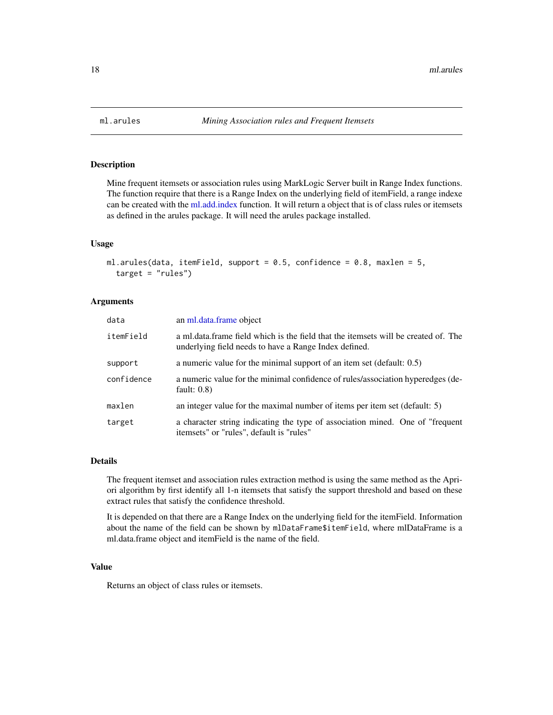<span id="page-17-1"></span><span id="page-17-0"></span>

# Description

Mine frequent itemsets or association rules using MarkLogic Server built in Range Index functions. The function require that there is a Range Index on the underlying field of itemField, a range indexe can be created with the [ml.add.index](#page-16-1) function. It will return a object that is of class rules or itemsets as defined in the arules package. It will need the arules package installed.

#### Usage

```
ml.arules(data, itemField, support = 0.5, confidence = 0.8, maxlen = 5,
  target = "rules")
```
#### Arguments

| data       | an ml.data.frame object                                                                                                                     |
|------------|---------------------------------------------------------------------------------------------------------------------------------------------|
| itemField  | a ml.data.frame field which is the field that the itemsets will be created of. The<br>underlying field needs to have a Range Index defined. |
| support    | a numeric value for the minimal support of an item set (default: $0.5$ )                                                                    |
| confidence | a numeric value for the minimal confidence of rules/association hyperedges (de-<br>fault: $0.8$ )                                           |
| maxlen     | an integer value for the maximal number of items per item set (default: $5$ )                                                               |
| target     | a character string indicating the type of association mined. One of "frequent"<br>itemsets" or "rules", default is "rules"                  |

#### Details

The frequent itemset and association rules extraction method is using the same method as the Apriori algorithm by first identify all 1-n itemsets that satisfy the support threshold and based on these extract rules that satisfy the confidence threshold.

It is depended on that there are a Range Index on the underlying field for the itemField. Information about the name of the field can be shown by mlDataFrame\$itemField, where mlDataFrame is a ml.data.frame object and itemField is the name of the field.

#### Value

Returns an object of class rules or itemsets.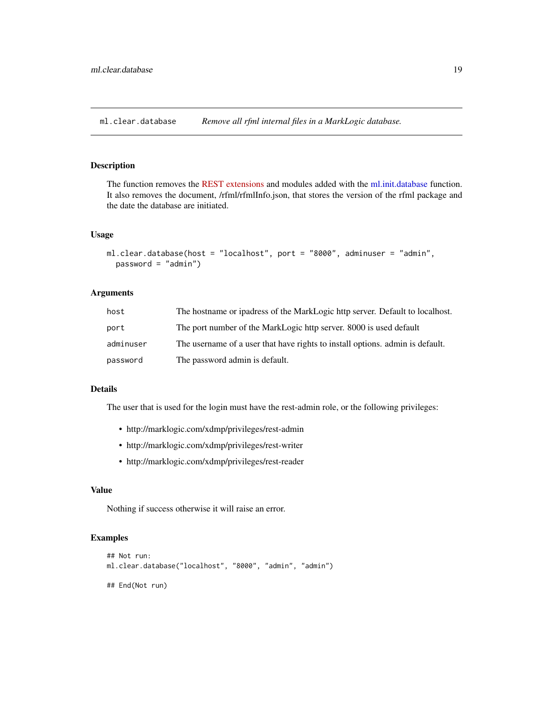<span id="page-18-0"></span>ml.clear.database *Remove all rfml internal files in a MarkLogic database.*

### Description

The function removes the [REST extensions](http://docs.marklogic.com/guide/rest-dev/extensions) and modules added with the [ml.init.database](#page-23-1) function. It also removes the document, /rfml/rfmlInfo.json, that stores the version of the rfml package and the date the database are initiated.

#### Usage

```
ml.clear.database(host = "localhost", port = "8000", adminuser = "admin",
 password = "admin")
```
# Arguments

| host      | The hostname or ipadress of the MarkLogic http server. Default to localhost.  |
|-----------|-------------------------------------------------------------------------------|
| port      | The port number of the MarkLogic http server. 8000 is used default            |
| adminuser | The username of a user that have rights to install options, admin is default. |
| password  | The password admin is default.                                                |

# Details

The user that is used for the login must have the rest-admin role, or the following privileges:

- http://marklogic.com/xdmp/privileges/rest-admin
- http://marklogic.com/xdmp/privileges/rest-writer
- http://marklogic.com/xdmp/privileges/rest-reader

#### Value

Nothing if success otherwise it will raise an error.

#### Examples

```
## Not run:
ml.clear.database("localhost", "8000", "admin", "admin")
## End(Not run)
```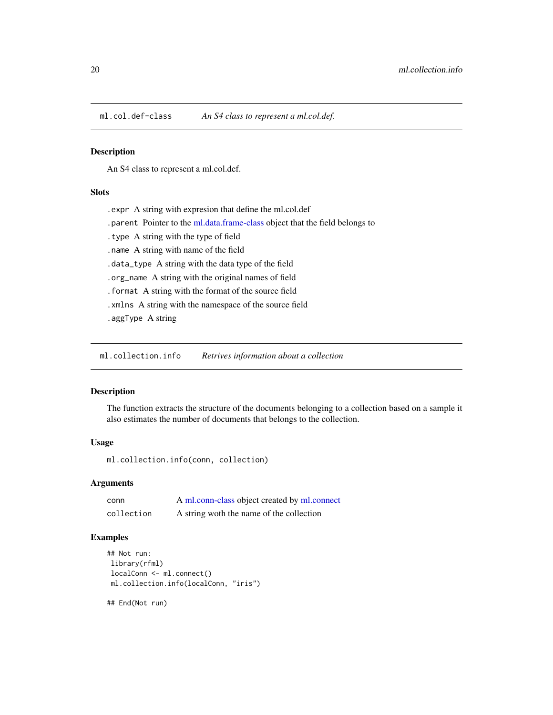<span id="page-19-1"></span><span id="page-19-0"></span>ml.col.def-class *An S4 class to represent a ml.col.def.*

#### Description

An S4 class to represent a ml.col.def.

# Slots

.expr A string with expresion that define the ml.col.def

.parent Pointer to the [ml.data.frame-class](#page-23-2) object that the field belongs to

.type A string with the type of field

.name A string with name of the field

.data\_type A string with the data type of the field

.org\_name A string with the original names of field

.format A string with the format of the source field

.xmlns A string with the namespace of the source field

.aggType A string

ml.collection.info *Retrives information about a collection*

# Description

The function extracts the structure of the documents belonging to a collection based on a sample it also estimates the number of documents that belongs to the collection.

#### Usage

ml.collection.info(conn, collection)

# Arguments

| conn       | A ml.conn-class object created by ml.connect |
|------------|----------------------------------------------|
| collection | A string woth the name of the collection     |

# Examples

```
## Not run:
library(rfml)
localConn <- ml.connect()
ml.collection.info(localConn, "iris")
```
## End(Not run)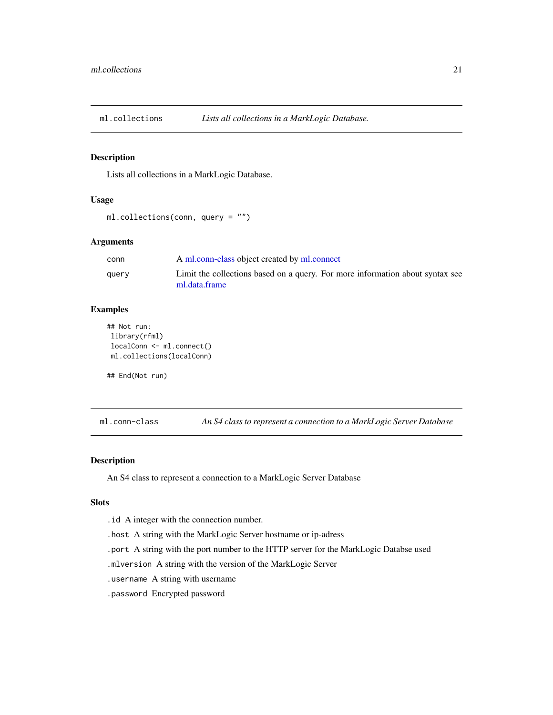<span id="page-20-0"></span>

#### Description

Lists all collections in a MarkLogic Database.

#### Usage

```
ml.collections(conn, query = "")
```
#### Arguments

| conn  | A ml.conn-class object created by ml.connect                                  |
|-------|-------------------------------------------------------------------------------|
| query | Limit the collections based on a query. For more information about syntax see |
|       | ml.data.frame                                                                 |

# Examples

```
## Not run:
library(rfml)
localConn <- ml.connect()
ml.collections(localConn)
```
## End(Not run)

<span id="page-20-1"></span>ml.conn-class *An S4 class to represent a connection to a MarkLogic Server Database*

#### Description

An S4 class to represent a connection to a MarkLogic Server Database

#### Slots

.id A integer with the connection number.

.host A string with the MarkLogic Server hostname or ip-adress

.port A string with the port number to the HTTP server for the MarkLogic Databse used

.mlversion A string with the version of the MarkLogic Server

.username A string with username

.password Encrypted password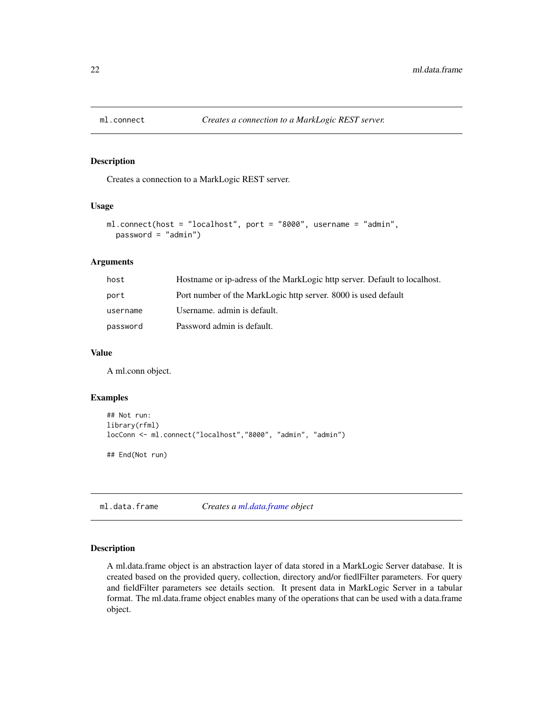<span id="page-21-2"></span><span id="page-21-0"></span>

#### Description

Creates a connection to a MarkLogic REST server.

#### Usage

```
ml.connect(host = "localhost", port = "8000", username = "admin",
 password = "admin")
```
#### Arguments

| host     | Hostname or ip-adress of the MarkLogic http server. Default to localhost. |
|----------|---------------------------------------------------------------------------|
| port     | Port number of the MarkLogic http server. 8000 is used default            |
| username | Username, admin is default.                                               |
| password | Password admin is default.                                                |

### Value

A ml.conn object.

# Examples

```
## Not run:
library(rfml)
locConn <- ml.connect("localhost","8000", "admin", "admin")
## End(Not run)
```
<span id="page-21-1"></span>ml.data.frame *Creates a [ml.data.frame](#page-21-1) object*

#### Description

A ml.data.frame object is an abstraction layer of data stored in a MarkLogic Server database. It is created based on the provided query, collection, directory and/or fiedlFilter parameters. For query and fieldFilter parameters see details section. It present data in MarkLogic Server in a tabular format. The ml.data.frame object enables many of the operations that can be used with a data.frame object.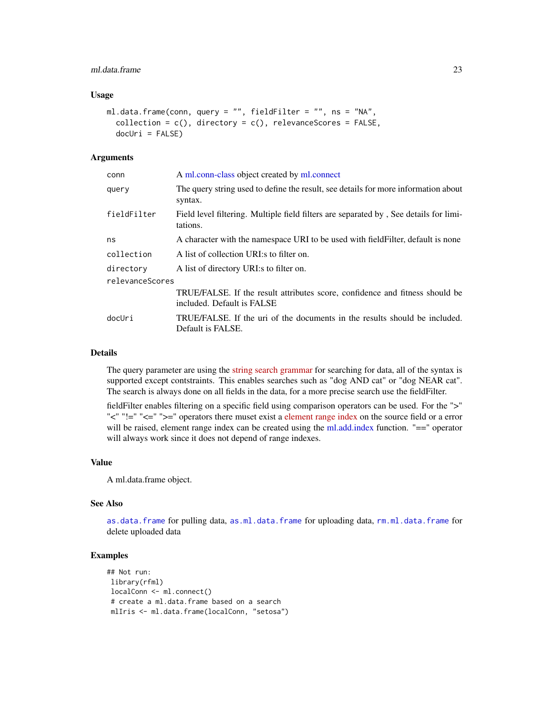# <span id="page-22-0"></span>ml.data.frame 23

#### Usage

```
ml.data.frame(conn, query = "", fieldFilter = "", ns = "NA",
 collection = c(), directory = c(), relevanceScores = FALSE,
  docUri = FALSE
```
#### Arguments

| conn            | A ml.conn-class object created by ml.connect                                                               |
|-----------------|------------------------------------------------------------------------------------------------------------|
| querv           | The query string used to define the result, see details for more information about<br>syntax.              |
| fieldFilter     | Field level filtering. Multiple field filters are separated by, See details for limi-<br>tations.          |
| ns              | A character with the namespace URI to be used with field Filter, default is none                           |
| collection      | A list of collection URI:s to filter on.                                                                   |
| directory       | A list of directory URI:s to filter on.                                                                    |
| relevanceScores |                                                                                                            |
|                 | TRUE/FALSE. If the result attributes score, confidence and fitness should be<br>included. Default is FALSE |
| docUri          | TRUE/FALSE. If the uri of the documents in the results should be included.<br>Default is FALSE.            |

### Details

The query parameter are using the [string search grammar](http://docs.marklogic.com/guide/search-dev/string-query) for searching for data, all of the syntax is supported except contstraints. This enables searches such as "dog AND cat" or "dog NEAR cat". The search is always done on all fields in the data, for a more precise search use the fieldFilter.

fieldFilter enables filtering on a specific field using comparison operators can be used. For the ">" "<" "!=" "<=" ">=" operators there muset exist a [element range index](http://docs.marklogic.com/guide/admin/range_index#id_93351) on the source field or a error will be raised, element range index can be created using the [ml.add.index](#page-16-1) function. "==" operator will always work since it does not depend of range indexes.

#### Value

A ml.data.frame object.

# See Also

[as.data.frame](#page-3-1) for pulling data, [as.ml.data.frame](#page-4-1) for uploading data, [rm.ml.data.frame](#page-28-1) for delete uploaded data

# Examples

```
## Not run:
library(rfml)
localConn <- ml.connect()
# create a ml.data.frame based on a search
mlIris <- ml.data.frame(localConn, "setosa")
```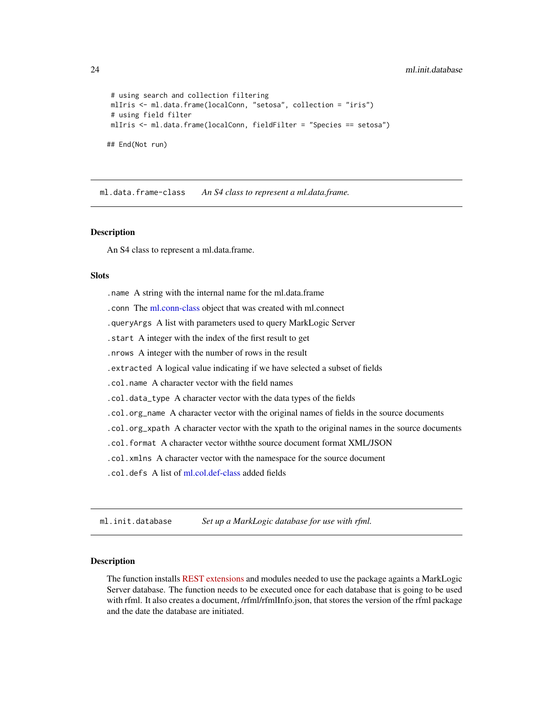```
# using search and collection filtering
mlIris <- ml.data.frame(localConn, "setosa", collection = "iris")
# using field filter
mlIris <- ml.data.frame(localConn, fieldFilter = "Species == setosa")
## End(Not run)
```
<span id="page-23-2"></span>ml.data.frame-class *An S4 class to represent a ml.data.frame.*

#### Description

An S4 class to represent a ml.data.frame.

#### **Slots**

- .name A string with the internal name for the ml.data.frame
- .conn The [ml.conn-class](#page-20-1) object that was created with ml.connect
- .queryArgs A list with parameters used to query MarkLogic Server
- .start A integer with the index of the first result to get
- .nrows A integer with the number of rows in the result
- .extracted A logical value indicating if we have selected a subset of fields
- .col.name A character vector with the field names
- .col.data\_type A character vector with the data types of the fields
- .col.org\_name A character vector with the original names of fields in the source documents
- .col.org\_xpath A character vector with the xpath to the original names in the source documents
- .col.format A character vector withthe source document format XML/JSON
- .col.xmlns A character vector with the namespace for the source document
- .col.defs A list of [ml.col.def-class](#page-19-1) added fields

<span id="page-23-1"></span>ml.init.database *Set up a MarkLogic database for use with rfml.*

# Description

The function installs [REST extensions](http://docs.marklogic.com/guide/rest-dev/extensions) and modules needed to use the package againts a MarkLogic Server database. The function needs to be executed once for each database that is going to be used with rfml. It also creates a document, /rfml/rfmlInfo.json, that stores the version of the rfml package and the date the database are initiated.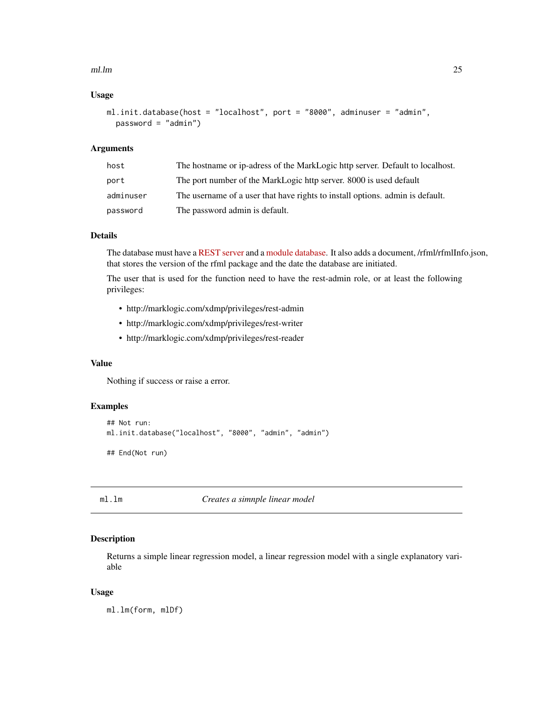#### <span id="page-24-0"></span>ml.lm 25

# Usage

```
ml.init.database(host = "localhost", port = "8000", adminuser = "admin",
 password = "admin")
```
# Arguments

| host      | The hostname or ip-adress of the MarkLogic http server. Default to local host. |
|-----------|--------------------------------------------------------------------------------|
| port      | The port number of the MarkLogic http server. 8000 is used default             |
| adminuser | The username of a user that have rights to install options, admin is default.  |
| password  | The password admin is default.                                                 |

# Details

The database must have a [REST server](http://docs.marklogic.com/guide/admin/http) and a [module database.](http://docs.marklogic.com/guide/admin/databases#id_38484) It also adds a document, /rfml/rfmlInfo.json, that stores the version of the rfml package and the date the database are initiated.

The user that is used for the function need to have the rest-admin role, or at least the following privileges:

- http://marklogic.com/xdmp/privileges/rest-admin
- http://marklogic.com/xdmp/privileges/rest-writer
- http://marklogic.com/xdmp/privileges/rest-reader

#### Value

Nothing if success or raise a error.

#### Examples

```
## Not run:
ml.init.database("localhost", "8000", "admin", "admin")
## End(Not run)
```
<span id="page-24-1"></span>ml.lm *Creates a simnple linear model*

#### Description

Returns a simple linear regression model, a linear regression model with a single explanatory variable

# Usage

ml.lm(form, mlDf)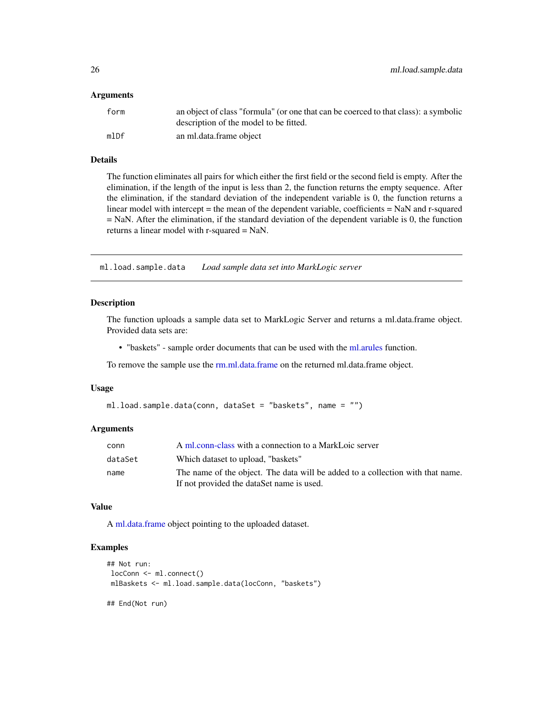#### <span id="page-25-0"></span>Arguments

| form | an object of class "formula" (or one that can be coerced to that class): a symbolic<br>description of the model to be fitted. |
|------|-------------------------------------------------------------------------------------------------------------------------------|
| mlDf | an ml.data.frame object                                                                                                       |

# Details

The function eliminates all pairs for which either the first field or the second field is empty. After the elimination, if the length of the input is less than 2, the function returns the empty sequence. After the elimination, if the standard deviation of the independent variable is 0, the function returns a linear model with intercept = the mean of the dependent variable, coefficients = NaN and r-squared = NaN. After the elimination, if the standard deviation of the dependent variable is 0, the function returns a linear model with r-squared = NaN.

ml.load.sample.data *Load sample data set into MarkLogic server*

### Description

The function uploads a sample data set to MarkLogic Server and returns a ml.data.frame object. Provided data sets are:

• "baskets" - sample order documents that can be used with the [ml.arules](#page-17-1) function.

To remove the sample use the [rm.ml.data.frame](#page-28-1) on the returned ml.data.frame object.

#### Usage

```
ml.load.sample.data(conn, dataSet = "baskets", name = "")
```
#### Arguments

| conn    | A ml.conn-class with a connection to a MarkLoic server                         |
|---------|--------------------------------------------------------------------------------|
| dataSet | Which dataset to upload, "baskets"                                             |
| name    | The name of the object. The data will be added to a collection with that name. |
|         | If not provided the dataSet name is used.                                      |

#### Value

A [ml.data.frame](#page-21-1) object pointing to the uploaded dataset.

#### Examples

```
## Not run:
locConn <- ml.connect()
mlBaskets <- ml.load.sample.data(locConn, "baskets")
## End(Not run)
```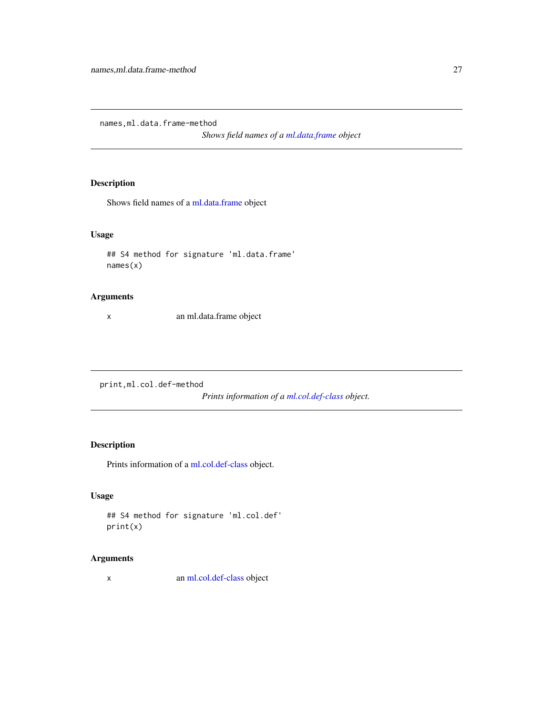<span id="page-26-0"></span>names,ml.data.frame-method

*Shows field names of a [ml.data.frame](#page-21-1) object*

# Description

Shows field names of a [ml.data.frame](#page-21-1) object

# Usage

```
## S4 method for signature 'ml.data.frame'
names(x)
```
### Arguments

x an ml.data.frame object

print,ml.col.def-method

*Prints information of a [ml.col.def-class](#page-19-1) object.*

# Description

Prints information of a [ml.col.def-class](#page-19-1) object.

# Usage

```
## S4 method for signature 'ml.col.def'
print(x)
```
# Arguments

x an [ml.col.def-class](#page-19-1) object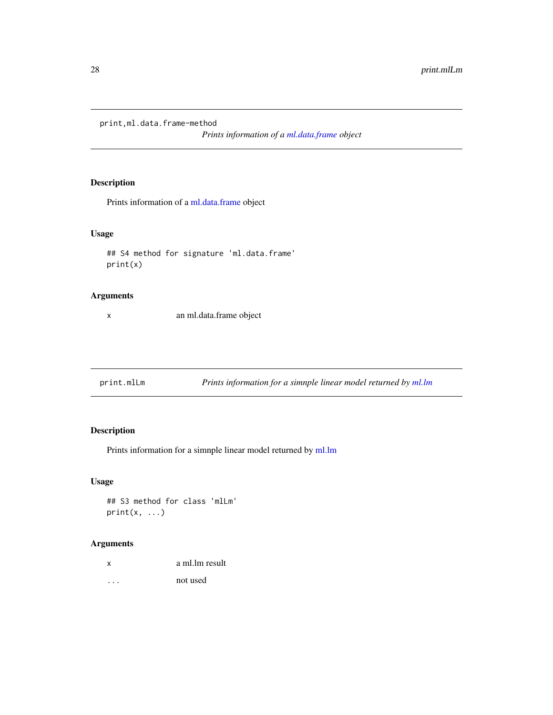<span id="page-27-0"></span>print,ml.data.frame-method

*Prints information of a [ml.data.frame](#page-21-1) object*

# Description

Prints information of a [ml.data.frame](#page-21-1) object

# Usage

```
## S4 method for signature 'ml.data.frame'
print(x)
```
# Arguments

x an ml.data.frame object

print.mlLm *Prints information for a simnple linear model returned by [ml.lm](#page-24-1)*

# Description

Prints information for a simnple linear model returned by [ml.lm](#page-24-1)

# Usage

## S3 method for class 'mlLm'  $print(x, \ldots)$ 

# Arguments

| x | a ml.lm result |
|---|----------------|
| . | not used       |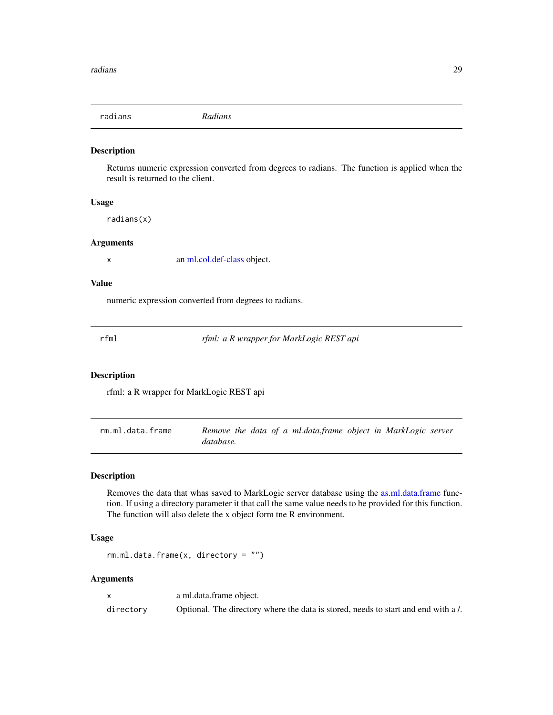<span id="page-28-0"></span>radians *Radians*

#### Description

Returns numeric expression converted from degrees to radians. The function is applied when the result is returned to the client.

#### Usage

radians(x)

#### Arguments

x an [ml.col.def-class](#page-19-1) object.

#### Value

numeric expression converted from degrees to radians.

rfml *rfml: a R wrapper for MarkLogic REST api*

#### Description

rfml: a R wrapper for MarkLogic REST api

<span id="page-28-1"></span>rm.ml.data.frame *Remove the data of a ml.data.frame object in MarkLogic server database.*

### Description

Removes the data that whas saved to MarkLogic server database using the [as.ml.data.frame](#page-4-1) function. If using a directory parameter it that call the same value needs to be provided for this function. The function will also delete the x object form tne R environment.

#### Usage

 $rm.m.$ ml.data.frame $(x,$  directory = "")

#### Arguments

x a ml.data.frame object. directory Optional. The directory where the data is stored, needs to start and end with a /.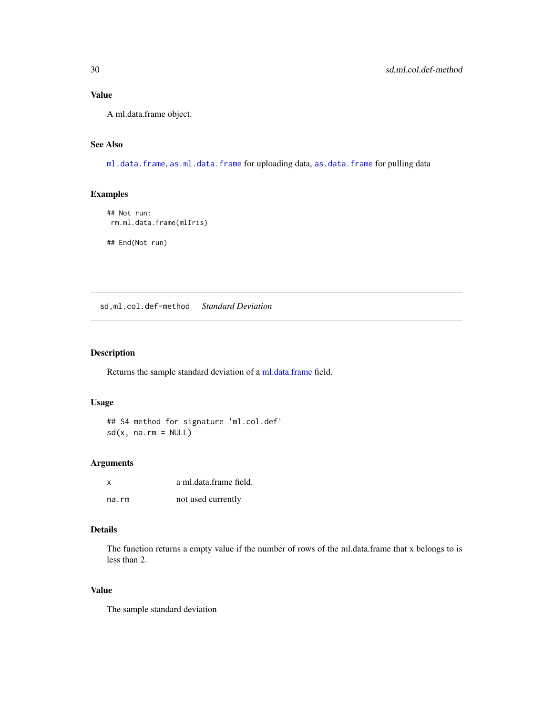# Value

A ml.data.frame object.

# See Also

[ml.data.frame](#page-21-1), [as.ml.data.frame](#page-4-1) for uploading data, [as.data.frame](#page-3-1) for pulling data

# Examples

```
## Not run:
rm.ml.data.frame(mlIris)
```
## End(Not run)

sd,ml.col.def-method *Standard Deviation*

# Description

Returns the sample standard deviation of a [ml.data.frame](#page-21-1) field.

# Usage

## S4 method for signature 'ml.col.def'  $sd(x, na.rm = NULL)$ 

#### Arguments

| x     | a ml.data.frame field. |
|-------|------------------------|
| na.rm | not used currently     |

#### Details

The function returns a empty value if the number of rows of the ml.data.frame that x belongs to is less than 2.

# Value

The sample standard deviation

<span id="page-29-0"></span>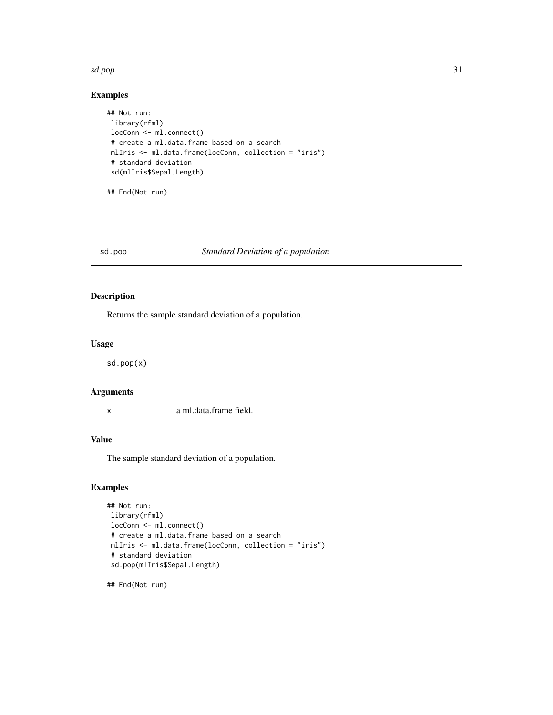#### <span id="page-30-0"></span>sd.pop 31

# Examples

```
## Not run:
library(rfml)
locConn <- ml.connect()
# create a ml.data.frame based on a search
mlIris <- ml.data.frame(locConn, collection = "iris")
# standard deviation
sd(mlIris$Sepal.Length)
```
## End(Not run)

#### sd.pop *Standard Deviation of a population*

# Description

Returns the sample standard deviation of a population.

#### Usage

sd.pop(x)

# Arguments

x a ml.data.frame field.

# Value

The sample standard deviation of a population.

### Examples

```
## Not run:
library(rfml)
locConn <- ml.connect()
# create a ml.data.frame based on a search
mlIris <- ml.data.frame(locConn, collection = "iris")
# standard deviation
sd.pop(mlIris$Sepal.Length)
```
## End(Not run)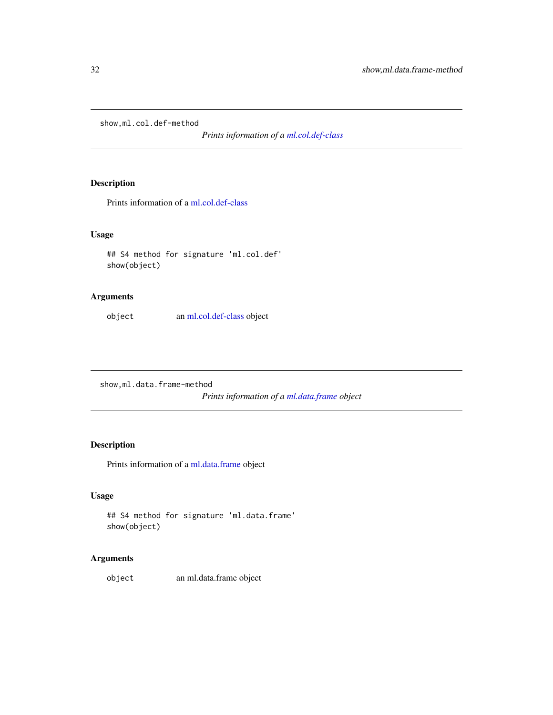<span id="page-31-0"></span>show,ml.col.def-method

*Prints information of a [ml.col.def-class](#page-19-1)*

# Description

Prints information of a [ml.col.def-class](#page-19-1)

# Usage

```
## S4 method for signature 'ml.col.def'
show(object)
```
# Arguments

object an [ml.col.def-class](#page-19-1) object

show,ml.data.frame-method

*Prints information of a [ml.data.frame](#page-21-1) object*

# Description

Prints information of a [ml.data.frame](#page-21-1) object

# Usage

```
## S4 method for signature 'ml.data.frame'
show(object)
```
# Arguments

object an ml.data.frame object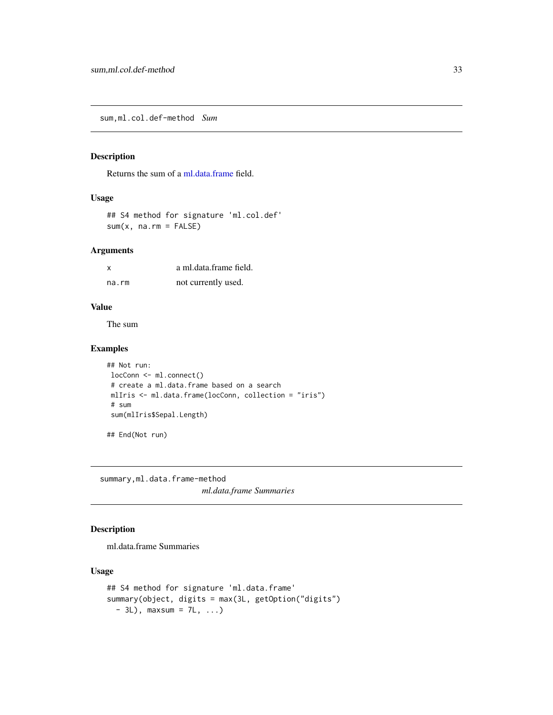<span id="page-32-0"></span>sum,ml.col.def-method *Sum*

# Description

Returns the sum of a [ml.data.frame](#page-21-1) field.

# Usage

## S4 method for signature 'ml.col.def'  $sum(x, na.rm = FALSE)$ 

#### Arguments

| x     | a ml.data.frame field. |
|-------|------------------------|
| na.rm | not currently used.    |

#### Value

The sum

# Examples

```
## Not run:
locConn <- ml.connect()
# create a ml.data.frame based on a search
mlIris <- ml.data.frame(locConn, collection = "iris")
# sum
sum(mlIris$Sepal.Length)
```
## End(Not run)

summary,ml.data.frame-method *ml.data.frame Summaries*

# Description

ml.data.frame Summaries

# Usage

```
## S4 method for signature 'ml.data.frame'
summary(object, digits = max(3L, getOption("digits")
 - 3L), maxsum = 7L, ...)
```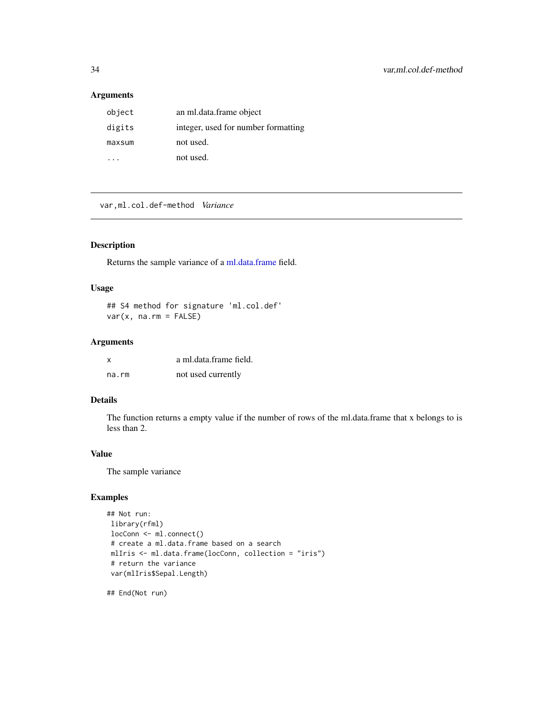# <span id="page-33-0"></span>Arguments

| object | an ml.data.frame object             |
|--------|-------------------------------------|
| digits | integer, used for number formatting |
| maxsum | not used.                           |
|        | not used.                           |

var,ml.col.def-method *Variance*

#### Description

Returns the sample variance of a [ml.data.frame](#page-21-1) field.

# Usage

## S4 method for signature 'ml.col.def' var(x, na.rm = FALSE)

# Arguments

| x     | a ml.data.frame field. |
|-------|------------------------|
| na.rm | not used currently     |

# Details

The function returns a empty value if the number of rows of the ml.data.frame that x belongs to is less than 2.

# Value

The sample variance

# Examples

```
## Not run:
library(rfml)
locConn <- ml.connect()
# create a ml.data.frame based on a search
mlIris <- ml.data.frame(locConn, collection = "iris")
# return the variance
var(mlIris$Sepal.Length)
```
## End(Not run)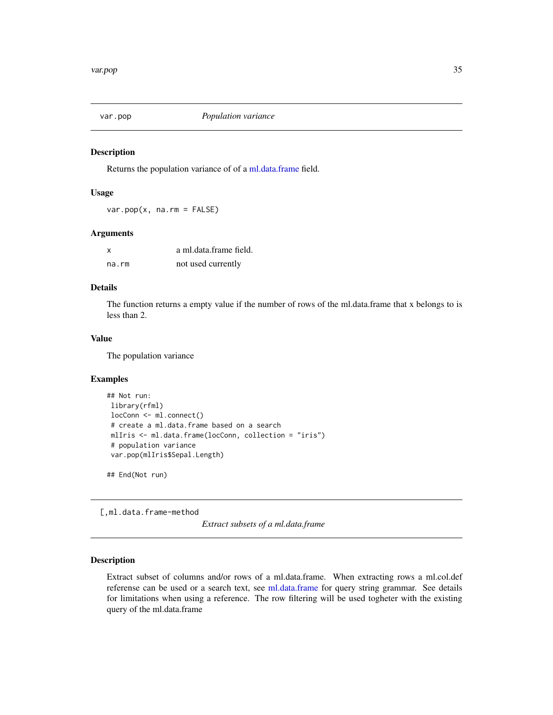<span id="page-34-0"></span>

#### Description

Returns the population variance of of a [ml.data.frame](#page-21-1) field.

#### Usage

 $var.pop(x, na.rm = FALSE)$ 

#### Arguments

| $\boldsymbol{\mathsf{x}}$ | a ml.data.frame field. |
|---------------------------|------------------------|
| na.rm                     | not used currently     |

# Details

The function returns a empty value if the number of rows of the ml.data.frame that x belongs to is less than 2.

# Value

The population variance

#### Examples

```
## Not run:
library(rfml)
locConn <- ml.connect()
# create a ml.data.frame based on a search
mlIris <- ml.data.frame(locConn, collection = "iris")
# population variance
var.pop(mlIris$Sepal.Length)
```
## End(Not run)

[,ml.data.frame-method

*Extract subsets of a ml.data.frame*

#### Description

Extract subset of columns and/or rows of a ml.data.frame. When extracting rows a ml.col.def referense can be used or a search text, see [ml.data.frame](#page-21-1) for query string grammar. See details for limitations when using a reference. The row filtering will be used togheter with the existing query of the ml.data.frame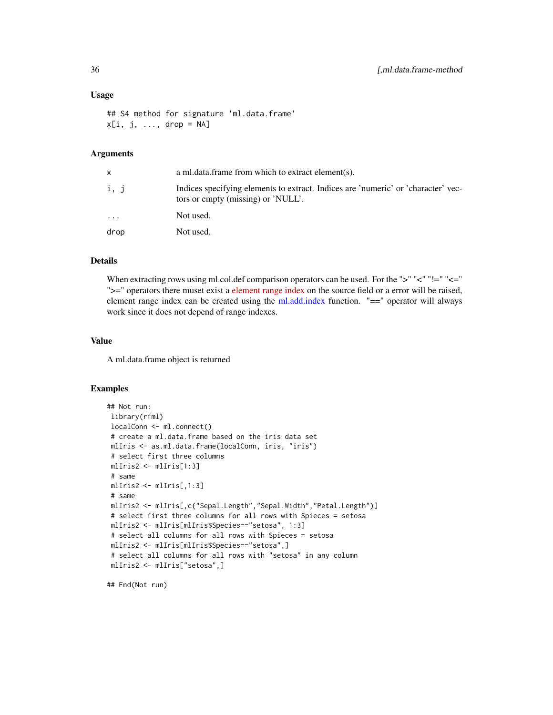#### <span id="page-35-0"></span>Usage

```
## S4 method for signature 'ml.data.frame'
x[i, j, ..., drop = NA]
```
# Arguments

| x        | a ml.data.frame from which to extract element(s).                                                                       |
|----------|-------------------------------------------------------------------------------------------------------------------------|
| i, j     | Indices specifying elements to extract. Indices are 'numeric' or 'character' vec-<br>tors or empty (missing) or 'NULL'. |
| $\cdots$ | Not used.                                                                                                               |
| drop     | Not used.                                                                                                               |

#### Details

When extracting rows using ml.col.def comparison operators can be used. For the ">" "<" "!=" "<=" ">=" operators there muset exist a [element range index](http://docs.marklogic.com/guide/admin/range_index#id_93351) on the source field or a error will be raised, element range index can be created using the [ml.add.index](#page-16-1) function. "==" operator will always work since it does not depend of range indexes.

#### Value

A ml.data.frame object is returned

#### Examples

```
## Not run:
library(rfml)
localConn <- ml.connect()
# create a ml.data.frame based on the iris data set
mlIris <- as.ml.data.frame(localConn, iris, "iris")
# select first three columns
mlIris2 <- mlIris[1:3]
# same
mlIris2 <- mlIris[,1:3]
# same
mlIris2 <- mlIris[,c("Sepal.Length","Sepal.Width","Petal.Length")]
# select first three columns for all rows with Spieces = setosa
mlIris2 <- mlIris[mlIris$Species=="setosa", 1:3]
# select all columns for all rows with Spieces = setosa
mlIris2 <- mlIris[mlIris$Species=="setosa",]
 # select all columns for all rows with "setosa" in any column
mlIris2 <- mlIris["setosa",]
```
## End(Not run)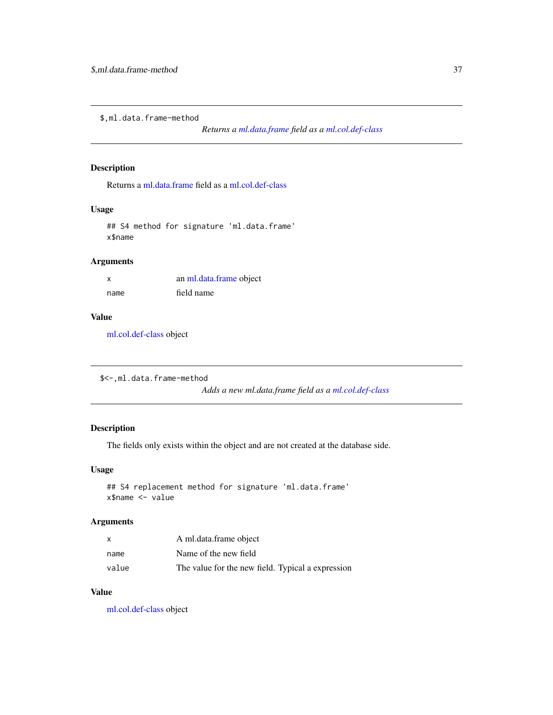<span id="page-36-0"></span>\$,ml.data.frame-method

*Returns a [ml.data.frame](#page-21-1) field as a [ml.col.def-class](#page-19-1)*

#### Description

Returns a [ml.data.frame](#page-21-1) field as a [ml.col.def-class](#page-19-1)

#### Usage

## S4 method for signature 'ml.data.frame' x\$name

# Arguments

| X    | an ml.data.frame object |
|------|-------------------------|
| name | field name              |

#### Value

[ml.col.def-class](#page-19-1) object

```
$<-,ml.data.frame-method
```
*Adds a new ml.data.frame field as a [ml.col.def-class](#page-19-1)*

# Description

The fields only exists within the object and are not created at the database side.

#### Usage

```
## S4 replacement method for signature 'ml.data.frame'
x$name <- value
```
# Arguments

| x     | A ml.data.frame object                            |
|-------|---------------------------------------------------|
| name  | Name of the new field                             |
| value | The value for the new field. Typical a expression |

# Value

[ml.col.def-class](#page-19-1) object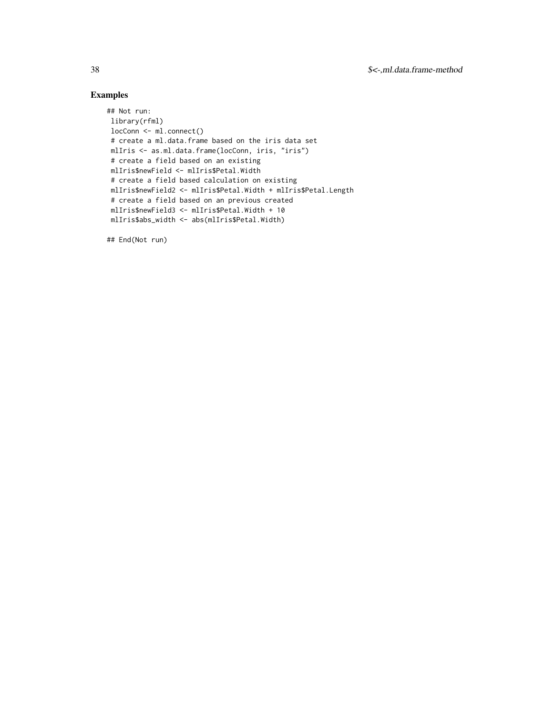# Examples

```
## Not run:
library(rfml)
locConn <- ml.connect()
 # create a ml.data.frame based on the iris data set
mlIris <- as.ml.data.frame(locConn, iris, "iris")
# create a field based on an existing
mlIris$newField <- mlIris$Petal.Width
 # create a field based calculation on existing
 mlIris$newField2 <- mlIris$Petal.Width + mlIris$Petal.Length
 # create a field based on an previous created
 mlIris$newField3 <- mlIris$Petal.Width + 10
 mlIris$abs_width <- abs(mlIris$Petal.Width)
```
## End(Not run)